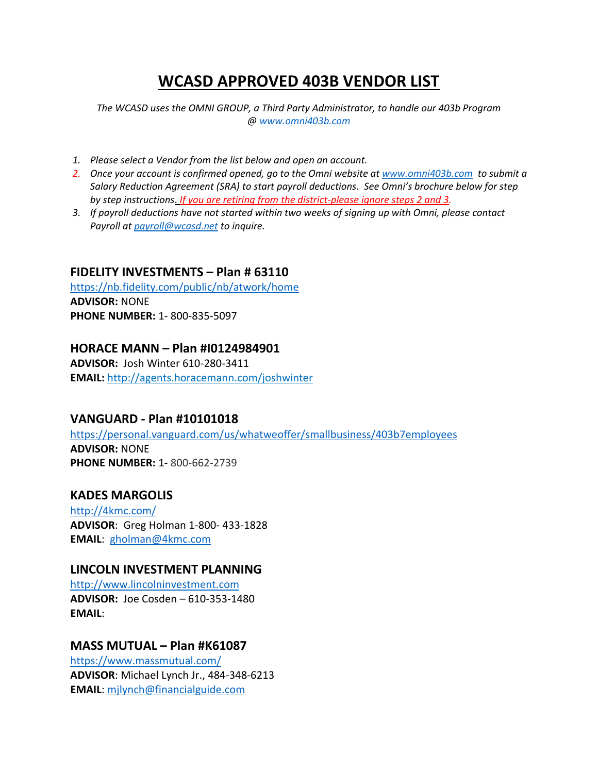# **WCASD APPROVED 403B VENDOR LIST**

*The WCASD uses the OMNI GROUP, a Third Party Administrator, to handle our 403b Program [@ www.omni403b.com](http://www.omni403b.com/)*

- *1. Please select a Vendor from the list below and open an account.*
- *2. Once your account is confirmed opened, go to the Omni website at [www.omni403b.com](http://www.omni403b.com/) to submit a Salary Reduction Agreement (SRA) to start payroll deductions. See Omni's brochure below for step by step instructions*. *If you are retiring from the district-please ignore steps 2 and 3.*
- *3. If payroll deductions have not started within two weeks of signing up with Omni, please contact Payroll a[t payroll@wcasd.net](mailto:payroll@wcasd.net) to inquire.*

#### **FIDELITY INVESTMENTS – Plan # 63110**

<https://nb.fidelity.com/public/nb/atwork/home> **ADVISOR:** NONE **PHONE NUMBER:** 1- 800-835-5097

#### **HORACE MANN – Plan #I0124984901**

**ADVISOR:** Josh Winter 610-280-3411 **EMAIL:** <http://agents.horacemann.com/joshwinter>

## **VANGUARD - Plan #10101018**

<https://personal.vanguard.com/us/whatweoffer/smallbusiness/403b7employees> **ADVISOR:** NONE **PHONE NUMBER:** 1- 800-662-2739

#### **KADES MARGOLIS**

<http://4kmc.com/> **ADVISOR**: Greg Holman 1-800- 433-1828 **EMAIL**: [gholman@4kmc.com](mailto:gholman@4kmc.com)

#### **LINCOLN INVESTMENT PLANNING**

[http://www.lincolninvestment.com](http://www.lincolninvestment.com/) **ADVISOR:** Joe Cosden – 610-353-1480 **EMAIL**:

## **MASS MUTUAL – Plan #K61087**

<https://www.massmutual.com/> **ADVISOR**: Michael Lynch Jr., 484-348-6213 **EMAIL**: [mjlynch@financialguide.com](mailto:mjlynch@financialguide.com)